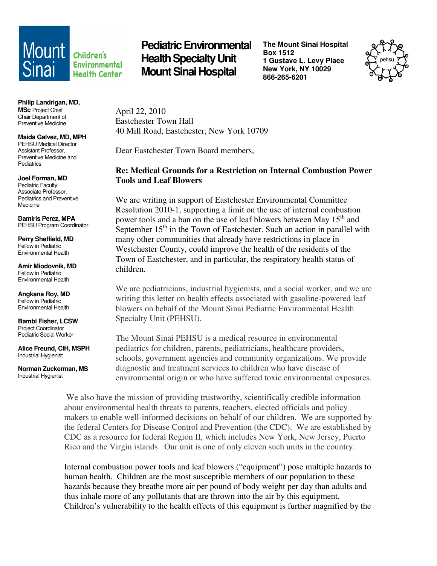## **Environmental Health Center**

**Philip Landrigan, MD, MSc** Project Chief Chair Department of Preventive Medicine

**Maida Galvez, MD, MPH**  PEHSU Medical Director Assistant Professor, Preventive Medicine and **Pediatrics** 

**Joel Forman, MD**  Pediatric Faculty Associate Professor, Pediatrics and Preventive Medicine

**Damiris Perez, MPA**  PEHSU Program Coordinator

**Perry Sheffield, MD**  Fellow in Pediatric Environmental Health

**Amir Miodovnik, MD**  Fellow in Pediatric Environmental Health

**Angkana Roy, MD**  Fellow in Pediatric Environmental Health

**Bambi Fisher, LCSW**  Project Coordinator Pediatric Social Worker

**Alice Freund, CIH, MSPH**  Industrial Hygienist

**Norman Zuckerman, MS**  Industrial Hygienist

**Mount** *children's* Pediatric Environmental **Health Specialty Unit Mount Sinai Hospital** 

**The Mount Sinai Hospital Box 1512 1 Gustave L. Levy Place New York, NY 10029 866-265-6201** 



April 22, 2010 Eastchester Town Hall 40 Mill Road, Eastchester, New York 10709

Dear Eastchester Town Board members,

## **Re: Medical Grounds for a Restriction on Internal Combustion Power Tools and Leaf Blowers**

We are writing in support of Eastchester Environmental Committee Resolution 2010-1, supporting a limit on the use of internal combustion power tools and a ban on the use of leaf blowers between May 15<sup>th</sup> and September  $15<sup>th</sup>$  in the Town of Eastchester. Such an action in parallel with many other communities that already have restrictions in place in Westchester County, could improve the health of the residents of the Town of Eastchester, and in particular, the respiratory health status of children.

We are pediatricians, industrial hygienists, and a social worker, and we are writing this letter on health effects associated with gasoline-powered leaf blowers on behalf of the Mount Sinai Pediatric Environmental Health Specialty Unit (PEHSU).

The Mount Sinai PEHSU is a medical resource in environmental pediatrics for children, parents, pediatricians, healthcare providers, schools, government agencies and community organizations. We provide diagnostic and treatment services to children who have disease of environmental origin or who have suffered toxic environmental exposures.

 We also have the mission of providing trustworthy, scientifically credible information about environmental health threats to parents, teachers, elected officials and policy makers to enable well-informed decisions on behalf of our children. We are supported by the federal Centers for Disease Control and Prevention (the CDC). We are established by CDC as a resource for federal Region II, which includes New York, New Jersey, Puerto Rico and the Virgin islands. Our unit is one of only eleven such units in the country.

Internal combustion power tools and leaf blowers ("equipment") pose multiple hazards to human health. Children are the most susceptible members of our population to these hazards because they breathe more air per pound of body weight per day than adults and thus inhale more of any pollutants that are thrown into the air by this equipment. Children's vulnerability to the health effects of this equipment is further magnified by the